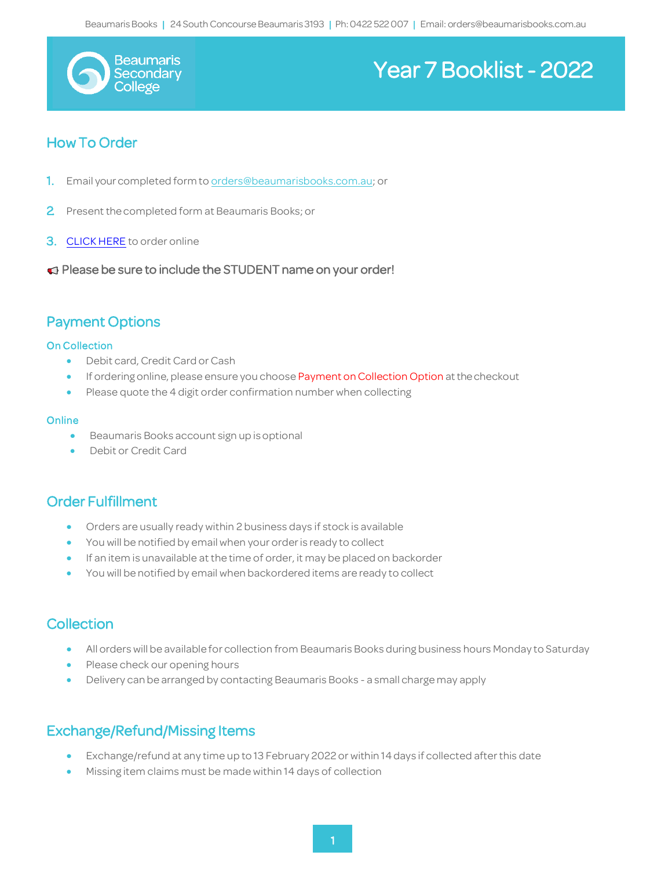

# Beaumaris<br>Becondary | Ph:0422 | Ph:0422 | Ph:0422 | Ph:0422022 | Execondary | Email: orders@beaumarisbooks.com

## How To Order

1. Email your completed form to [orders@beaumarisbooks.com.au;](mailto:orders@beaumarisbooks.com.au) or

**Contract Contract Contract Contract Contract Contract Contract Contract Contract Contract Contract Contract Co** 

- 2 Present the completed form at Beaumaris Books; or
- **3. [CLICK HERE](https://beaumaris-books.myshopify.com/pages/beaumaris-secondary-college)** to order online
- Please be sure to include the STUDENT name on your order!

## Payment Options

#### On Collection

- Debit card, Credit Card orCash
- If ordering online, please ensure you choose Payment on Collection Option at the checkout
- Please quote the 4 digit order confirmation number when collecting

#### **Online**

- Beaumaris Books account sign up is optional
- Debit or Credit Card

### Order Fulfillment

- Orders are usually ready within 2 business days if stock is available
- You will be notified by email when your orderis ready to collect
- If an item is unavailable at the time of order, it may be placed on backorder
- You will be notified by email when backordered items are ready to collect

### Collection

- All orders will be available for collection from Beaumaris Books during business hours Monday to Saturday
- Please check our opening hours
- Delivery can be arranged by contacting Beaumaris Books a small charge may apply

## Exchange/Refund/Missing Items

- Exchange/refund at any time up to 13 February 2022 or within 14 days if collected afterthis date
- Missing item claims must be made within 14 days of collection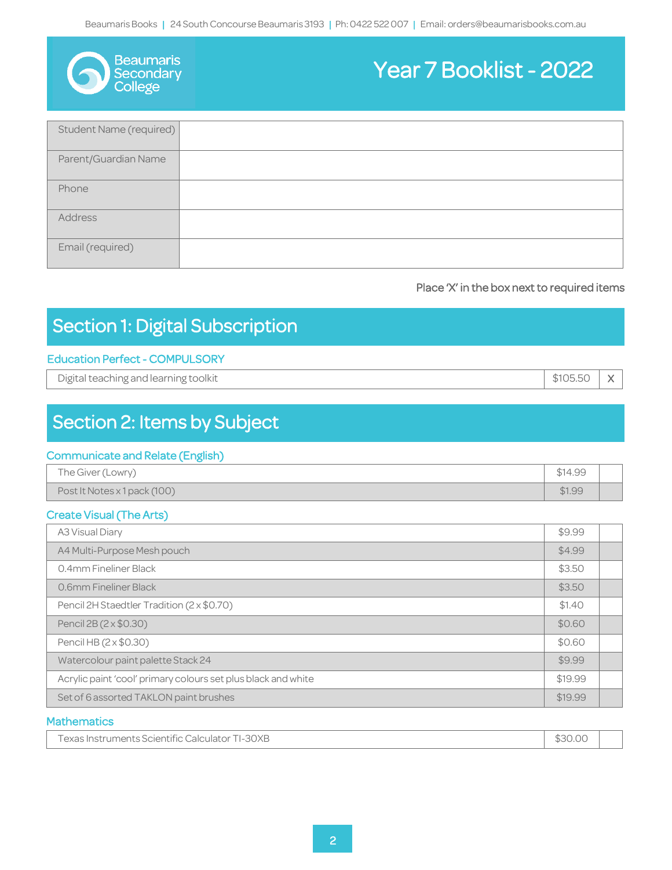| <b>Beaumaris</b> |
|------------------|
| Secondar         |
| College          |

# Beaumaris<br>Becondary | Ph:0422 | Ph:0422 | Ph:0422 | Ph:0422022 | Execondary | Email: orders@beaumarisbooks.com

| Student Name (required) |  |
|-------------------------|--|
| Parent/Guardian Name    |  |
| Phone                   |  |
| Address                 |  |
| Email (required)        |  |

#### Place 'X' in the box next to required items

# Section 1: Digital Subscription

**Contract Contract Contract Contract Contract Contract Contract Contract Contract Contract Contract Contract Co** 

### Education Perfect - COMPULSORY

Digital teaching and learning toolkit **X** and the state of the state of the state of the state of the state of the state of the state of the state of the state of the state of the state of the state of the state of the sta

# Section 2: Items by Subject

### Communicate and Relate (English)

| The Giver (Lowry)            | \$14.99 |  |
|------------------------------|---------|--|
| Post It Notes x 1 pack (100) | \$1.99  |  |

#### Create Visual (The Arts)

| <b>A3 Visual Diary</b>                                        |        |  |
|---------------------------------------------------------------|--------|--|
| A4 Multi-Purpose Mesh pouch                                   | \$4.99 |  |
| 0.4mm Fineliner Black                                         | \$3.50 |  |
| 0.6mm Fineliner Black                                         | \$3.50 |  |
| Pencil 2H Staedtler Tradition (2 x \$0.70)                    | \$1.40 |  |
| Pencil 2B (2 x \$0.30)                                        |        |  |
| Pencil HB (2 x \$0.30)                                        | \$0.60 |  |
| Watercolour paint palette Stack 24                            |        |  |
| Acrylic paint 'cool' primary colours set plus black and white |        |  |
| Set of 6 assorted TAKLON paint brushes                        |        |  |

#### **Mathematics**

| <b>Fexas Instruments Scientific Calculator TI-</b><br><b>TI-30XB</b> | \$30.00 |  |
|----------------------------------------------------------------------|---------|--|
|----------------------------------------------------------------------|---------|--|